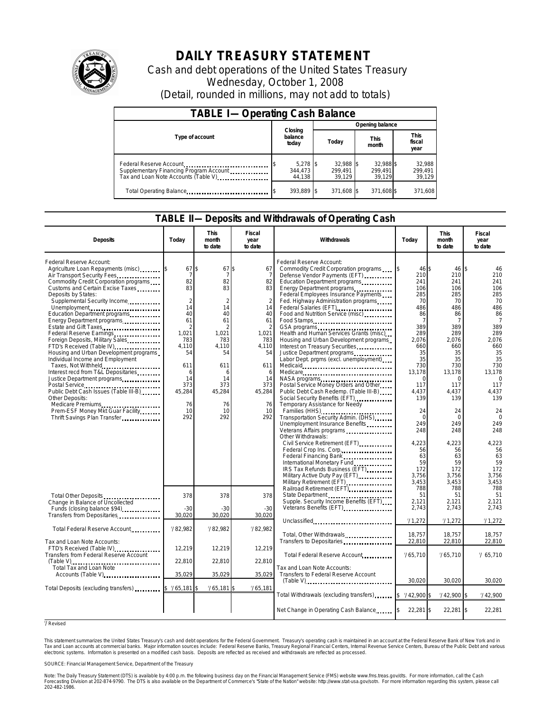

# **DAILY TREASURY STATEMENT**

Cash and debt operations of the United States Treasury Wednesday, October 1, 2008 (Detail, rounded in millions, may not add to totals)

| <b>TABLE I-Operating Cash Balance</b>                                                                      |                                     |                                |                                |                             |  |  |
|------------------------------------------------------------------------------------------------------------|-------------------------------------|--------------------------------|--------------------------------|-----------------------------|--|--|
|                                                                                                            |                                     | Opening balance                |                                |                             |  |  |
| Type of account                                                                                            | Closing<br>balance<br>today         | Today                          | <b>This</b><br>month           |                             |  |  |
| Federal Reserve Account<br>Supplementary Financing Program Account<br>Tax and Loan Note Accounts (Table V) | $5.278$ \ \ \$<br>344,473<br>44.138 | 32.988 \$<br>299.491<br>39.129 | 32.988 \$<br>299.491<br>39.129 | 32.988<br>299,491<br>39,129 |  |  |
| Total Operating Balance                                                                                    | 393.889 \$                          | 371.608 \$                     | 371.608 \$                     | 371.608                     |  |  |

#### **TABLE II—Deposits and Withdrawals of Operating Cash**

| <b>Deposits</b>                                                                                                                                                                                                                                                                    | Today                                                      | This<br>month<br>to date                                | Fiscal<br>year<br>to date                                | <b>Withdrawals</b>                                                                                                                                                                                                                                                                                                  | Today                                                             | This<br>month<br>to date                                          | Fiscal<br>year<br>to date                                            |
|------------------------------------------------------------------------------------------------------------------------------------------------------------------------------------------------------------------------------------------------------------------------------------|------------------------------------------------------------|---------------------------------------------------------|----------------------------------------------------------|---------------------------------------------------------------------------------------------------------------------------------------------------------------------------------------------------------------------------------------------------------------------------------------------------------------------|-------------------------------------------------------------------|-------------------------------------------------------------------|----------------------------------------------------------------------|
| Federal Reserve Account:<br>Agriculture Loan Repayments (misc)<br>Air Transport Security Fees<br>Commodity Credit Corporation programs<br>Customs and Certain Excise Taxes<br>Deposits by States:<br>Supplemental Security Income<br>Unemployment<br>Education Department programs | 67<br>7<br>82<br>83<br>$\overline{2}$<br>14<br>40          | \$<br>67<br>7<br>82<br>83<br>$\overline{2}$<br>14<br>40 | \$.<br>67<br>7<br>82<br>83<br>$\overline{2}$<br>14<br>40 | Federal Reserve Account:<br>Commodity Credit Corporation programs<br>Defense Vendor Payments (EFT)<br>Education Department programs<br>Energy Department programs<br>Federal Employees Insurance Payments<br>Fed. Highway Administration programs<br>Food and Nutrition Service (misc)                              | 46S<br>210<br>241<br>106<br>285<br>70<br>486<br>86                | 46 \$<br>210<br>241<br>106<br>285<br>70<br>486<br>86              | 46<br>210<br>241<br>106<br>285<br>70<br>486<br>86                    |
| Estate and Gift Taxes<br>Federal Reserve Earnings<br>Foreign Deposits, Military Sales<br>FTD's Received (Table IV)<br>Housing and Urban Development programs<br>Individual Income and Employment<br>Taxes, Not Withheld                                                            | 61<br>$\overline{2}$<br>1.021<br>783<br>4,110<br>54<br>611 | 61<br>2<br>1.021<br>783<br>4,110<br>54<br>611           | 61<br>2<br>1.021<br>783<br>4,110<br>54<br>611            | Food Stamps<br>Health and Human Services Grants (misc)<br>Housing and Urban Development programs<br>Interest on Treasury Securities.<br>Justice Department programs<br><br>Labor Dept. prgms (excl. unemployment)                                                                                                   | 7<br>389<br>289<br>2,076<br>660<br>35<br>35<br>730                | 7<br>389<br>289<br>2.076<br>660<br>35<br>35<br>730                | $\overline{7}$<br>389<br>289<br>2,076<br>660<br>35<br>35<br>730      |
| Interest recd from T&L Depositaries<br>Justice Department programs<br>Public Debt Cash Issues (Table III-B)<br>Other Deposits:<br>Medicare Premiums<br>Prem-ESF Money Mkt Guar Facility                                                                                            | 6<br>14<br>373<br>45,284<br>76<br>10                       | 6<br>14<br>373<br>45,284<br>76<br>10                    | 6<br>14<br>373<br>45,284<br>76<br>10                     | Medicare<br>Postal Service Money Orders and Other<br>Public Debt Cash Redemp. (Table III-B)<br>Temporary Assistance for Needy<br>Families (HHS)                                                                                                                                                                     | 13,178<br>$\mathbf 0$<br>117<br>4,437<br>139<br>24                | 13,178<br>$\Omega$<br>117<br>4,437<br>139<br>24                   | 13,178<br>$\Omega$<br>117<br>4,437<br>139<br>24                      |
| Thrift Savings Plan Transfer                                                                                                                                                                                                                                                       | 292                                                        | 292                                                     | 292                                                      | Transportation Security Admin. (DHS)<br>Unemployment Insurance Benefits<br>Veterans Affairs programs<br>Other Withdrawals:<br>Civil Service Retirement (EFT)<br>Federal Crop Ins. Corp<br>Federal Financing Bank<br>International Monetary Fund<br>IRS Tax Refunds Business (EFT)<br>Military Active Duty Pay (EFT) | $\Omega$<br>249<br>248<br>4.223<br>56<br>63<br>59<br>172<br>3,756 | $\Omega$<br>249<br>248<br>4,223<br>56<br>63<br>59<br>172<br>3.756 | $\mathbf 0$<br>249<br>248<br>4,223<br>56<br>63<br>59<br>172<br>3,756 |
| Total Other Deposits<br>Change in Balance of Uncollected<br>Transfers from Depositaries                                                                                                                                                                                            | 378<br>$-30$<br>30,020                                     | 378<br>$-30$<br>30,020                                  | 378<br>$-30$<br>30,020                                   | Military Retirement (EFT)<br>Railroad Retirement (EFT)<br>Supple. Security Income Benefits (EFT)<br>Veterans Benefits (EFT)                                                                                                                                                                                         | 3,453<br>788<br>51<br>2,121<br>2,743<br>71,272                    | 3,453<br>788<br>51<br>2,121<br>2,743<br>71,272                    | 3,453<br>788<br>51<br>2,121<br>2,743<br>71,272                       |
| Total Federal Reserve Account                                                                                                                                                                                                                                                      | 782,982                                                    | 782,982                                                 | 782,982                                                  | Unclassified<br>Total, Other Withdrawals                                                                                                                                                                                                                                                                            | 18,757                                                            | 18,757                                                            | 18,757                                                               |
| Tax and Loan Note Accounts:<br>FTD's Received (Table IV)<br>Transfers from Federal Reserve Account                                                                                                                                                                                 | 12,219<br>22,810                                           | 12,219<br>22,810                                        | 12,219<br>22,810                                         | Transfers to Depositaries<br>Total Federal Reserve Account                                                                                                                                                                                                                                                          | 22,810<br>765,710                                                 | 22,810<br>765,710                                                 | 22,810<br>765,710                                                    |
| Accounts (Table V)                                                                                                                                                                                                                                                                 | 35,029                                                     | 35,029                                                  | 35,029                                                   | Tax and Loan Note Accounts:<br>Transfers to Federal Reserve Account<br>(Table V)                                                                                                                                                                                                                                    | 30,020                                                            | 30,020                                                            | 30,020                                                               |
| Total Deposits (excluding transfers)                                                                                                                                                                                                                                               | \$765,181                                                  | /65,181                                                 | 1/65,181                                                 | Total Withdrawals (excluding transfers)                                                                                                                                                                                                                                                                             | $$742,900$ \$                                                     | $1/42,900$ \$                                                     | 1/42,900                                                             |
|                                                                                                                                                                                                                                                                                    |                                                            |                                                         |                                                          | Net Change in Operating Cash Balance                                                                                                                                                                                                                                                                                | 22,281 \$                                                         | 22,281 \$                                                         | 22,281                                                               |

#### r / Revised

This statement summarizes the United States Treasury's cash and debt operations for the Federal Government. Treasury's operating cash is maintained in an account at the Federal Reserve Bank of New York and in Tax and Loan accounts at commercial banks. Major information sources include: Federal Reserve Banks, Treasury Regional Financial Centers, Internal Revenue Service Centers, Bureau of the Public Debt and various electronic systems. Information is presented on a modified cash basis. Deposits are reflected as received and withdrawals are reflected as processed.

SOURCE: Financial Management Service, Department of the Treasury

Note: The Daily Treasury Statement (DTS) is available by 4:00 p.m. the following business day on the Financial Management Service (FMS) website www.fms.treas.gov/dts. For more information, call the Cash Forecasting Division at 202-874-9790. The DTS is also available on the Department of Commerce's "State of the Nation" website: http://www.stat-usa.gov/sotn. For more information regarding this system, please call<br>202-482-1